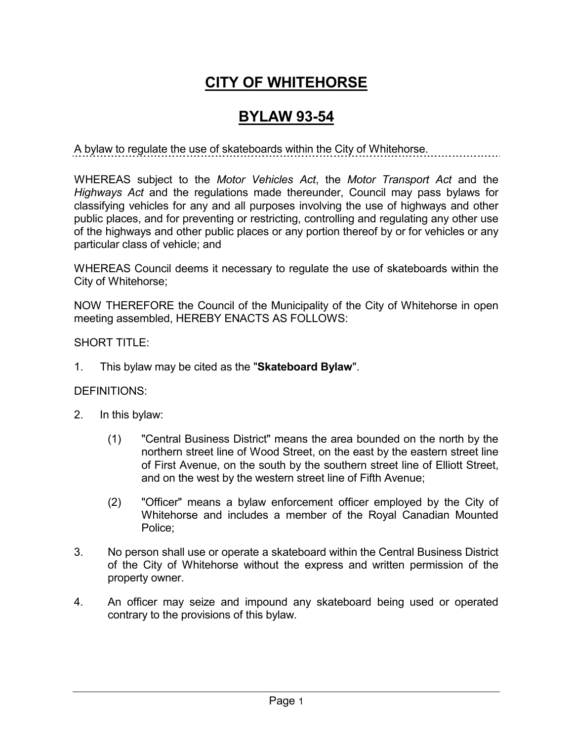## **CITY OF WHITEHORSE**

## **BYLAW 93-54**

A bylaw to regulate the use of skateboards within the City of Whitehorse.

WHEREAS subject to the *Motor Vehicles Act*, the *Motor Transport Act* and the *Highways Act* and the regulations made thereunder, Council may pass bylaws for classifying vehicles for any and all purposes involving the use of highways and other public places, and for preventing or restricting, controlling and regulating any other use of the highways and other public places or any portion thereof by or for vehicles or any particular class of vehicle; and

WHEREAS Council deems it necessary to regulate the use of skateboards within the City of Whitehorse;

NOW THEREFORE the Council of the Municipality of the City of Whitehorse in open meeting assembled, HEREBY ENACTS AS FOLLOWS:

SHORT TITLE:

1. This bylaw may be cited as the "**Skateboard Bylaw**".

## DEFINITIONS:

- 2. In this bylaw:
	- (1) "Central Business District" means the area bounded on the north by the northern street line of Wood Street, on the east by the eastern street line of First Avenue, on the south by the southern street line of Elliott Street, and on the west by the western street line of Fifth Avenue;
	- (2) "Officer" means a bylaw enforcement officer employed by the City of Whitehorse and includes a member of the Royal Canadian Mounted Police;
- 3. No person shall use or operate a skateboard within the Central Business District of the City of Whitehorse without the express and written permission of the property owner.
- 4. An officer may seize and impound any skateboard being used or operated contrary to the provisions of this bylaw.